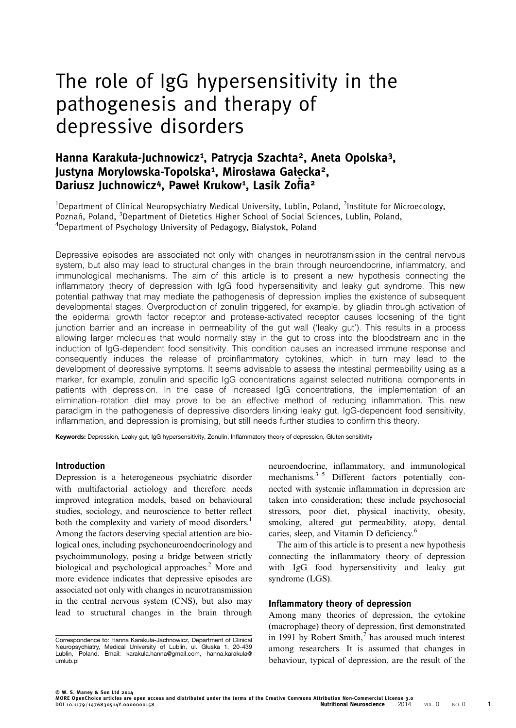# The role of IgG hypersensitivity in the pathogenesis and therapy of depressive disorders

## Hanna Karakuła-Juchnowicz<sup>1</sup>, Patrycja Szachta<sup>2</sup>, Aneta Opolska<sup>3</sup>, Justyna Morylowska-Topolska1, Mirosława Gałęcka2, Dariusz Juchnowicz<sup>4</sup>, Paweł Krukow<sup>1</sup>, Lasik Zofia<sup>2</sup>

<sup>1</sup>Department of Clinical Neuropsychiatry Medical University, Lublin, Poland, <sup>2</sup>Institute for Microecology, Poznań, Poland, <sup>3</sup>Department of Dietetics Higher School of Social Sciences, Lublin, Poland, 4 Department of Psychology University of Pedagogy, Bialystok, Poland

Depressive episodes are associated not only with changes in neurotransmission in the central nervous system, but also may lead to structural changes in the brain through neuroendocrine, inflammatory, and immunological mechanisms. The aim of this article is to present a new hypothesis connecting the inflammatory theory of depression with IgG food hypersensitivity and leaky gut syndrome. This new potential pathway that may mediate the pathogenesis of depression implies the existence of subsequent developmental stages. Overproduction of zonulin triggered, for example, by gliadin through activation of the epidermal growth factor receptor and protease-activated receptor causes loosening of the tight junction barrier and an increase in permeability of the gut wall ('leaky gut'). This results in a process allowing larger molecules that would normally stay in the gut to cross into the bloodstream and in the induction of IgG-dependent food sensitivity. This condition causes an increased immune response and consequently induces the release of proinflammatory cytokines, which in turn may lead to the development of depressive symptoms. It seems advisable to assess the intestinal permeability using as a marker, for example, zonulin and specific IgG concentrations against selected nutritional components in patients with depression. In the case of increased IgG concentrations, the implementation of an elimination–rotation diet may prove to be an effective method of reducing inflammation. This new paradigm in the pathogenesis of depressive disorders linking leaky gut, IgG-dependent food sensitivity, inflammation, and depression is promising, but still needs further studies to confirm this theory.

Keywords: Depression, Leaky gut, IgG hypersensitivity, Zonulin, Inflammatory theory of depression, Gluten sensitivity

#### Introduction

Depression is a heterogeneous psychiatric disorder with multifactorial aetiology and therefore needs improved integration models, based on behavioural studies, sociology, and neuroscience to better reflect both the complexity and variety of mood disorders.<sup>1</sup> Among the factors deserving special attention are biological ones, including psychoneuroendocrinology and psychoimmunology, posing a bridge between strictly biological and psychological approaches.<sup>[2](#page-5-0)</sup> More and more evidence indicates that depressive episodes are associated not only with changes in neurotransmission in the central nervous system (CNS), but also may lead to structural changes in the brain through neuroendocrine, inflammatory, and immunological mechanisms.<sup>[3](#page-6-0)–[5](#page-6-0)</sup> Different factors potentially connected with systemic inflammation in depression are taken into consideration; these include psychosocial stressors, poor diet, physical inactivity, obesity, smoking, altered gut permeability, atopy, dental caries, sleep, and Vitamin D deficiency.[6](#page-6-0)

The aim of this article is to present a new hypothesis connecting the inflammatory theory of depression with IgG food hypersensitivity and leaky gut syndrome (LGS).

#### Inflammatory theory of depression

Among many theories of depression, the cytokine (macrophage) theory of depression, first demonstrated in 1991 by Robert Smith, $^7$  $^7$  has aroused much interest among researchers. It is assumed that changes in behaviour, typical of depression, are the result of the

Correspondence to: Hanna Karakuła-Jachnowicz, Department of Clinical Neuropsychiatry, Medical University of Lublin, ul. Głuska 1, 20-439 Lublin, Poland. Email: [karakula.hanna@gmail.com](mailto:karakula.hanna@gmail.com), [hanna.karakula@](mailto:hanna.karakula@umlub.pl) [umlub.pl](mailto:hanna.karakula@umlub.pl)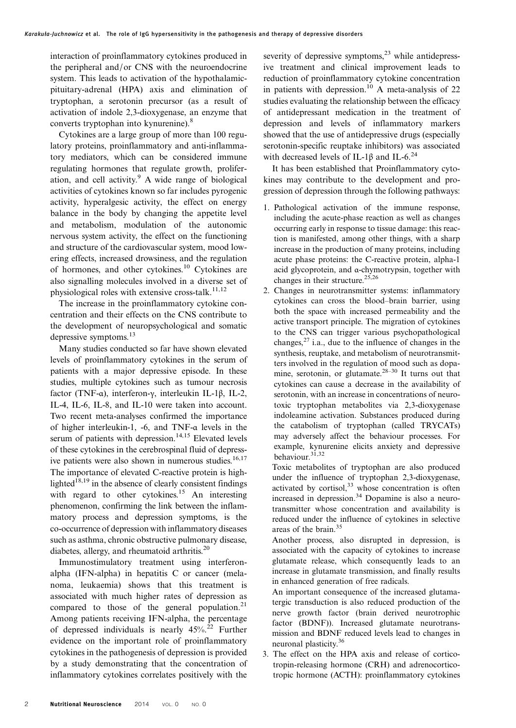interaction of proinflammatory cytokines produced in the peripheral and/or CNS with the neuroendocrine system. This leads to activation of the hypothalamicpituitary-adrenal (HPA) axis and elimination of tryptophan, a serotonin precursor (as a result of activation of indole 2,3-dioxygenase, an enzyme that converts tryptophan into kynurenine).[8](#page-6-0)

Cytokines are a large group of more than 100 regulatory proteins, proinflammatory and anti-inflammatory mediators, which can be considered immune regulating hormones that regulate growth, proliferation, and cell activity. $9$  A wide range of biological activities of cytokines known so far includes pyrogenic activity, hyperalgesic activity, the effect on energy balance in the body by changing the appetite level and metabolism, modulation of the autonomic nervous system activity, the effect on the functioning and structure of the cardiovascular system, mood lowering effects, increased drowsiness, and the regulation of hormones, and other cytokines.<sup>[10](#page-6-0)</sup> Cytokines are also signalling molecules involved in a diverse set of physiological roles with extensive cross-talk.<sup>[11,12](#page-6-0)</sup>

The increase in the proinflammatory cytokine concentration and their effects on the CNS contribute to the development of neuropsychological and somatic depressive symptoms.[13](#page-6-0)

Many studies conducted so far have shown elevated levels of proinflammatory cytokines in the serum of patients with a major depressive episode. In these studies, multiple cytokines such as tumour necrosis factor (TNF-α), interferon-γ, interleukin IL-1β, IL-2, IL-4, IL-6, IL-8, and IL-10 were taken into account. Two recent meta-analyses confirmed the importance of higher interleukin-1, -6, and TNF-α levels in the serum of patients with depression.<sup>[14,15](#page-6-0)</sup> Elevated levels of these cytokines in the cerebrospinal fluid of depressive patients were also shown in numerous studies.<sup>16,17</sup> The importance of elevated C-reactive protein is highlighted<sup>18,19</sup> in the absence of clearly consistent findings with regard to other cytokines.<sup>15</sup> An interesting phenomenon, confirming the link between the inflammatory process and depression symptoms, is the co-occurrence of depression with inflammatory diseases such as asthma, chronic obstructive pulmonary disease, diabetes, allergy, and rheumatoid arthritis.<sup>20</sup>

Immunostimulatory treatment using interferonalpha (IFN-alpha) in hepatitis C or cancer (melanoma, leukaemia) shows that this treatment is associated with much higher rates of depression as compared to those of the general population. $2<sup>1</sup>$ Among patients receiving IFN-alpha, the percentage of depressed individuals is nearly  $45\%$ <sup>[22](#page-6-0)</sup> Further evidence on the important role of proinflammatory cytokines in the pathogenesis of depression is provided by a study demonstrating that the concentration of inflammatory cytokines correlates positively with the

severity of depressive symptoms, $^{23}$  $^{23}$  $^{23}$  while antidepressive treatment and clinical improvement leads to reduction of proinflammatory cytokine concentration in patients with depression.<sup>10</sup> A meta-analysis of 22 studies evaluating the relationship between the efficacy of antidepressant medication in the treatment of depression and levels of inflammatory markers showed that the use of antidepressive drugs (especially serotonin-specific reuptake inhibitors) was associated with decreased levels of IL-1 $\beta$  and IL-6.<sup>[24](#page-6-0)</sup>

It has been established that Proinflammatory cytokines may contribute to the development and progression of depression through the following pathways:

- 1. Pathological activation of the immune response, including the acute-phase reaction as well as changes occurring early in response to tissue damage: this reaction is manifested, among other things, with a sharp increase in the production of many proteins, including acute phase proteins: the C-reactive protein, alpha-1 acid glycoprotein, and α-chymotrypsin, together with changes in their structure.<sup>[25,26](#page-6-0)</sup>
- 2. Changes in neurotransmitter systems: inflammatory cytokines can cross the blood–brain barrier, using both the space with increased permeability and the active transport principle. The migration of cytokines to the CNS can trigger various psychopathological changes,  $27$  i.a., due to the influence of changes in the synthesis, reuptake, and metabolism of neurotransmitters involved in the regulation of mood such as dopamine, serotonin, or glutamate. $28-30$  $28-30$  $28-30$  It turns out that cytokines can cause a decrease in the availability of serotonin, with an increase in concentrations of neurotoxic tryptophan metabolites via 2,3-dioxygenase indoleamine activation. Substances produced during the catabolism of tryptophan (called TRYCATs) may adversely affect the behaviour processes. For example, kynurenine elicits anxiety and depressive behaviour[.31,32](#page-6-0)

Toxic metabolites of tryptophan are also produced under the influence of tryptophan 2,3-dioxygenase, activated by cortisol, $33$  whose concentration is often increased in depression. $34$  Dopamine is also a neurotransmitter whose concentration and availability is reduced under the influence of cytokines in selective areas of the brain.[35](#page-6-0)

Another process, also disrupted in depression, is associated with the capacity of cytokines to increase glutamate release, which consequently leads to an increase in glutamate transmission, and finally results in enhanced generation of free radicals.

An important consequence of the increased glutamatergic transduction is also reduced production of the nerve growth factor (brain derived neurotrophic factor (BDNF)). Increased glutamate neurotransmission and BDNF reduced levels lead to changes in neuronal plasticity[.36](#page-6-0)

3. The effect on the HPA axis and release of corticotropin-releasing hormone (CRH) and adrenocorticotropic hormone (ACTH): proinflammatory cytokines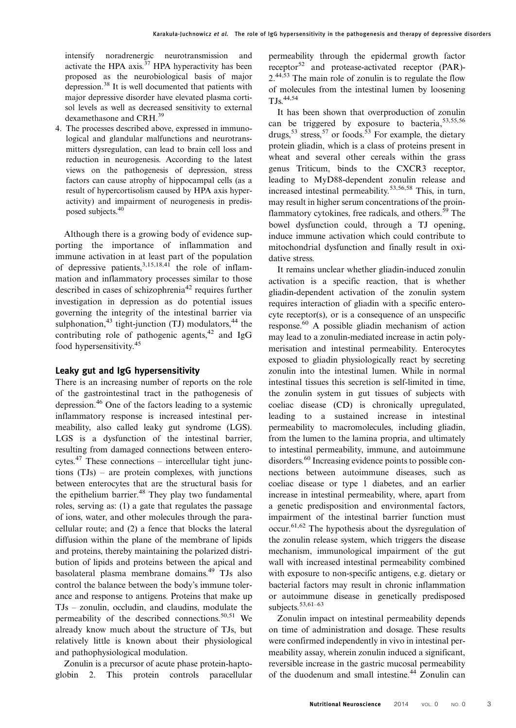intensify noradrenergic neurotransmission and activate the HPA  $axis^{37}$  $axis^{37}$  $axis^{37}$  HPA hyperactivity has been proposed as the neurobiological basis of major depression.[38](#page-6-0) It is well documented that patients with major depressive disorder have elevated plasma cortisol levels as well as decreased sensitivity to external dexamethasone and CRH.[39](#page-6-0)

4. The processes described above, expressed in immunological and glandular malfunctions and neurotransmitters dysregulation, can lead to brain cell loss and reduction in neurogenesis. According to the latest views on the pathogenesis of depression, stress factors can cause atrophy of hippocampal cells (as a result of hypercortisolism caused by HPA axis hyperactivity) and impairment of neurogenesis in predisposed subjects.[40](#page-6-0)

Although there is a growing body of evidence supporting the importance of inflammation and immune activation in at least part of the population of depressive patients,  $3,15,18,41$  the role of inflammation and inflammatory processes similar to those described in cases of schizophrenia<sup>[42](#page-6-0)</sup> requires further investigation in depression as do potential issues governing the integrity of the intestinal barrier via sulphonation, $43$  tight-junction (TJ) modulators, $44$  the contributing role of pathogenic agents,  $42$  and IgG food hypersensitivity.[45](#page-6-0)

#### Leaky gut and IgG hypersensitivity

There is an increasing number of reports on the role of the gastrointestinal tract in the pathogenesis of depression.[46](#page-6-0) One of the factors leading to a systemic inflammatory response is increased intestinal permeability, also called leaky gut syndrome (LGS). LGS is a dysfunction of the intestinal barrier, resulting from damaged connections between enterocytes. $47$  These connections – intercellular tight junctions  $(TJs)$  – are protein complexes, with junctions between enterocytes that are the structural basis for the epithelium barrier.<sup>[48](#page-6-0)</sup> They play two fundamental roles, serving as: (1) a gate that regulates the passage of ions, water, and other molecules through the paracellular route; and (2) a fence that blocks the lateral diffusion within the plane of the membrane of lipids and proteins, thereby maintaining the polarized distribution of lipids and proteins between the apical and basolateral plasma membrane domains.<sup>[49](#page-6-0)</sup> TJs also control the balance between the body's immune tolerance and response to antigens. Proteins that make up TJs – zonulin, occludin, and claudins, modulate the permeability of the described connections.<sup>[50,51](#page-7-0)</sup> We already know much about the structure of TJs, but relatively little is known about their physiological and pathophysiological modulation.

Zonulin is a precursor of acute phase protein-haptoglobin 2. This protein controls paracellular permeability through the epidermal growth factor receptor<sup>52</sup> and protease-activated receptor (PAR)- $2^{44,53}$  $2^{44,53}$  $2^{44,53}$  $2^{44,53}$  The main role of zonulin is to regulate the flow of molecules from the intestinal lumen by loosening TJs[.44](#page-6-0)[,54](#page-7-0)

It has been shown that overproduction of zonulin can be triggered by exposure to bacteria,  $53,55,56$ drugs,  $53$  stress,  $57$  or foods.  $53$  For example, the dietary protein gliadin, which is a class of proteins present in wheat and several other cereals within the grass genus Triticum, binds to the CXCR3 receptor, leading to MyD88-dependent zonulin release and increased intestinal permeability.[53,56,58](#page-7-0) This, in turn, may result in higher serum concentrations of the proinflammatory cytokines, free radicals, and others.<sup>59</sup> The bowel dysfunction could, through a TJ opening, induce immune activation which could contribute to mitochondrial dysfunction and finally result in oxidative stress.

It remains unclear whether gliadin-induced zonulin activation is a specific reaction, that is whether gliadin-dependent activation of the zonulin system requires interaction of gliadin with a specific enterocyte receptor(s), or is a consequence of an unspecific response.[60](#page-7-0) A possible gliadin mechanism of action may lead to a zonulin-mediated increase in actin polymerisation and intestinal permeability. Enterocytes exposed to gliadin physiologically react by secreting zonulin into the intestinal lumen. While in normal intestinal tissues this secretion is self-limited in time, the zonulin system in gut tissues of subjects with coeliac disease (CD) is chronically upregulated, leading to a sustained increase in intestinal permeability to macromolecules, including gliadin, from the lumen to the lamina propria, and ultimately to intestinal permeability, immune, and autoimmune disorders.[60](#page-7-0) Increasing evidence points to possible connections between autoimmune diseases, such as coeliac disease or type 1 diabetes, and an earlier increase in intestinal permeability, where, apart from a genetic predisposition and environmental factors, impairment of the intestinal barrier function must occur.[61,62](#page-7-0) The hypothesis about the dysregulation of the zonulin release system, which triggers the disease mechanism, immunological impairment of the gut wall with increased intestinal permeability combined with exposure to non-specific antigens, e.g. dietary or bacterial factors may result in chronic inflammation or autoimmune disease in genetically predisposed subjects. $53,61-63$  $53,61-63$  $53,61-63$ 

Zonulin impact on intestinal permeability depends on time of administration and dosage. These results were confirmed independently in vivo in intestinal permeability assay, wherein zonulin induced a significant, reversible increase in the gastric mucosal permeability of the duodenum and small intestine.<sup>[44](#page-6-0)</sup> Zonulin can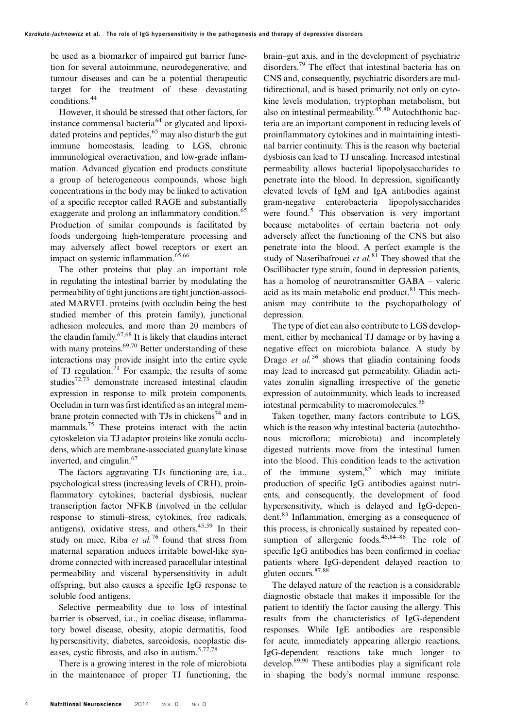be used as a biomarker of impaired gut barrier function for several autoimmune, neurodegenerative, and tumour diseases and can be a potential therapeutic target for the treatment of these devastating conditions.[44](#page-6-0)

However, it should be stressed that other factors, for instance commensal bacteria<sup>[64](#page-7-0)</sup> or glycated and lipoxidated proteins and peptides,  $65$  may also disturb the gut immune homeostasis, leading to LGS, chronic immunological overactivation, and low-grade inflammation. Advanced glycation end products constitute a group of heterogeneous compounds, whose high concentrations in the body may be linked to activation of a specific receptor called RAGE and substantially exaggerate and prolong an inflammatory condition.<sup>[65](#page-7-0)</sup> Production of similar compounds is facilitated by foods undergoing high-temperature processing and may adversely affect bowel receptors or exert an impact on systemic inflammation.<sup>[65,66](#page-7-0)</sup>

The other proteins that play an important role in regulating the intestinal barrier by modulating the permeability of tight junctions are tight junction-associated MARVEL proteins (with occludin being the best studied member of this protein family), junctional adhesion molecules, and more than 20 members of the claudin family[.67,68](#page-7-0) It is likely that claudins interact with many proteins. $69,70$  Better understanding of these interactions may provide insight into the entire cycle of TJ regulation.<sup>[71](#page-7-0)</sup> For example, the results of some studies<sup>72,73</sup> demonstrate increased intestinal claudin expression in response to milk protein components. Occludin in turn was first identified as an integral mem-brane protein connected with TJs in chickens<sup>[74](#page-7-0)</sup> and in mammals.<sup>75</sup> These proteins interact with the actin cytoskeleton via TJ adaptor proteins like zonula occludens, which are membrane-associated guanylate kinase inverted, and cingulin. $67$ 

The factors aggravating TJs functioning are, i.a., psychological stress (increasing levels of CRH), proinflammatory cytokines, bacterial dysbiosis, nuclear transcription factor NFKB (involved in the cellular response to stimuli–stress, cytokines, free radicals, antigens), oxidative stress, and others. $45,59$  $45,59$  In their study on mice, Riba et al.<sup>[76](#page-7-0)</sup> found that stress from maternal separation induces irritable bowel-like syndrome connected with increased paracellular intestinal permeability and visceral hypersensitivity in adult offspring, but also causes a specific IgG response to soluble food antigens.

Selective permeability due to loss of intestinal barrier is observed, i.a., in coeliac disease, inflammatory bowel disease, obesity, atopic dermatitis, food hypersensitivity, diabetes, sarcoidosis, neoplastic dis-eases, cystic fibrosis, and also in autism.<sup>[5](#page-6-0)[,77,78](#page-7-0)</sup>

There is a growing interest in the role of microbiota in the maintenance of proper TJ functioning, the brain–gut axis, and in the development of psychiatric disorders.[79](#page-7-0) The effect that intestinal bacteria has on CNS and, consequently, psychiatric disorders are multidirectional, and is based primarily not only on cytokine levels modulation, tryptophan metabolism, but also on intestinal permeability.<sup>[45](#page-6-0)[,80](#page-7-0)</sup> Autochthonic bacteria are an important component in reducing levels of proinflammatory cytokines and in maintaining intestinal barrier continuity. This is the reason why bacterial dysbiosis can lead to TJ unsealing. Increased intestinal permeability allows bacterial lipopolysaccharides to penetrate into the blood. In depression, significantly elevated levels of IgM and IgA antibodies against gram-negative enterobacteria lipopolysaccharides were found.<sup>[5](#page-6-0)</sup> This observation is very important because metabolites of certain bacteria not only adversely affect the functioning of the CNS but also penetrate into the blood. A perfect example is the study of Naseribafrouei et  $al$ .<sup>[81](#page-7-0)</sup> They showed that the Oscillibacter type strain, found in depression patients, has a homolog of neurotransmitter GABA – valeric acid as its main metabolic end product.<sup>[81](#page-7-0)</sup> This mechanism may contribute to the psychopathology of depression.

The type of diet can also contribute to LGS development, either by mechanical TJ damage or by having a negative effect on microbiota balance. A study by Drago et  $al.56$  $al.56$  shows that gliadin containing foods may lead to increased gut permeability. Gliadin activates zonulin signalling irrespective of the genetic expression of autoimmunity, which leads to increased intestinal permeability to macromolecules.<sup>[56](#page-7-0)</sup>

Taken together, many factors contribute to LGS, which is the reason why intestinal bacteria (autochthonous microflora; microbiota) and incompletely digested nutrients move from the intestinal lumen into the blood. This condition leads to the activation of the immune system, $82$  which may initiate production of specific IgG antibodies against nutrients, and consequently, the development of food hypersensitivity, which is delayed and IgG-depen-dent.<sup>[83](#page-7-0)</sup> Inflammation, emerging as a consequence of this process, is chronically sustained by repeated consumption of allergenic foods.  $46,84-86$  $46,84-86$  $46,84-86$  $46,84-86$  The role of specific IgG antibodies has been confirmed in coeliac patients where IgG-dependent delayed reaction to gluten occurs.[87,88](#page-7-0)

The delayed nature of the reaction is a considerable diagnostic obstacle that makes it impossible for the patient to identify the factor causing the allergy. This results from the characteristics of IgG-dependent responses. While IgE antibodies are responsible for acute, immediately appearing allergic reactions, IgG-dependent reactions take much longer to develop.[89,90](#page-7-0) These antibodies play a significant role in shaping the body's normal immune response.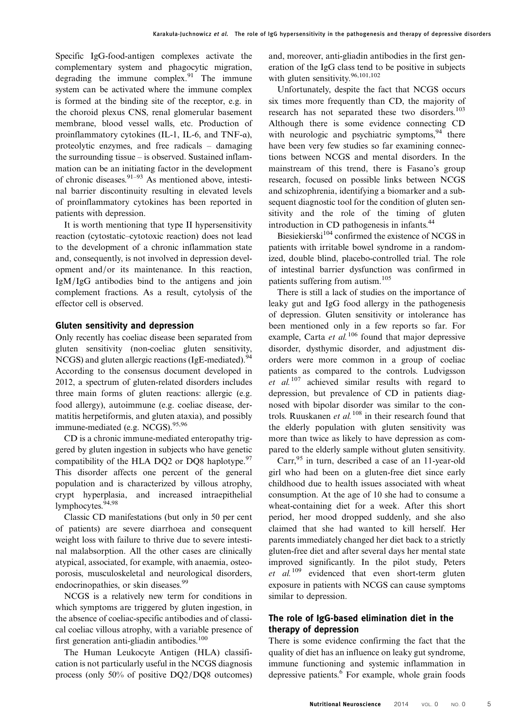Specific IgG-food-antigen complexes activate the complementary system and phagocytic migration, degrading the immune complex. $91$  The immune system can be activated where the immune complex is formed at the binding site of the receptor, e.g. in the choroid plexus CNS, renal glomerular basement membrane, blood vessel walls, etc. Production of proinflammatory cytokines (IL-1, IL-6, and TNF-α), proteolytic enzymes, and free radicals – damaging the surrounding tissue – is observed. Sustained inflammation can be an initiating factor in the development of chronic diseases.  $91-93$  $91-93$  $91-93$  As mentioned above, intestinal barrier discontinuity resulting in elevated levels of proinflammatory cytokines has been reported in patients with depression.

It is worth mentioning that type II hypersensitivity reaction (cytostatic–cytotoxic reaction) does not lead to the development of a chronic inflammation state and, consequently, is not involved in depression development and/or its maintenance. In this reaction, IgM/IgG antibodies bind to the antigens and join complement fractions. As a result, cytolysis of the effector cell is observed.

#### Gluten sensitivity and depression

Only recently has coeliac disease been separated from gluten sensitivity (non-coeliac gluten sensitivity, NCGS) and gluten allergic reactions (IgE-mediated).<sup>[94](#page-7-0)</sup> According to the consensus document developed in 2012, a spectrum of gluten-related disorders includes three main forms of gluten reactions: allergic (e.g. food allergy), autoimmune (e.g. coeliac disease, dermatitis herpetiformis, and gluten ataxia), and possibly immune-mediated (e.g. NCGS). $95,96$  $95,96$ 

CD is a chronic immune-mediated enteropathy triggered by gluten ingestion in subjects who have genetic compatibility of the HLA DQ2 or DQ8 haplotype. $97$ This disorder affects one percent of the general population and is characterized by villous atrophy, crypt hyperplasia, and increased intraepithelial lymphocytes. $94,98$  $94,98$ 

Classic CD manifestations (but only in 50 per cent of patients) are severe diarrhoea and consequent weight loss with failure to thrive due to severe intestinal malabsorption. All the other cases are clinically atypical, associated, for example, with anaemia, osteoporosis, musculoskeletal and neurological disorders, endocrinopathies, or skin diseases.<sup>[99](#page-8-0)</sup>

NCGS is a relatively new term for conditions in which symptoms are triggered by gluten ingestion, in the absence of coeliac-specific antibodies and of classical coeliac villous atrophy, with a variable presence of first generation anti-gliadin antibodies.<sup>100</sup>

The Human Leukocyte Antigen (HLA) classification is not particularly useful in the NCGS diagnosis process (only 50% of positive DQ2/DQ8 outcomes) and, moreover, anti-gliadin antibodies in the first generation of the IgG class tend to be positive in subjects with gluten sensitivity.<sup>[96,101,102](#page-8-0)</sup>

Unfortunately, despite the fact that NCGS occurs six times more frequently than CD, the majority of research has not separated these two disorders.<sup>[103](#page-8-0)</sup> Although there is some evidence connecting CD with neurologic and psychiatric symptoms,  $94$  there have been very few studies so far examining connections between NCGS and mental disorders. In the mainstream of this trend, there is Fasano's group research, focused on possible links between NCGS and schizophrenia, identifying a biomarker and a subsequent diagnostic tool for the condition of gluten sensitivity and the role of the timing of gluten introduction in CD pathogenesis in infants.<sup>[44](#page-6-0)</sup>

Biesiekierski $104$  confirmed the existence of NCGS in patients with irritable bowel syndrome in a randomized, double blind, placebo-controlled trial. The role of intestinal barrier dysfunction was confirmed in patients suffering from autism.<sup>[105](#page-8-0)</sup>

There is still a lack of studies on the importance of leaky gut and IgG food allergy in the pathogenesis of depression. Gluten sensitivity or intolerance has been mentioned only in a few reports so far. For example, Carta et al.<sup>[106](#page-8-0)</sup> found that major depressive disorder, dysthymic disorder, and adjustment disorders were more common in a group of coeliac patients as compared to the controls. Ludvigsson et al.<sup>[107](#page-8-0)</sup> achieved similar results with regard to depression, but prevalence of CD in patients diagnosed with bipolar disorder was similar to the con-trols. Ruuskanen et al.<sup>[108](#page-8-0)</sup> in their research found that the elderly population with gluten sensitivity was more than twice as likely to have depression as compared to the elderly sample without gluten sensitivity.

Carr,<sup>95</sup> in turn, described a case of an 11-year-old girl who had been on a gluten-free diet since early childhood due to health issues associated with wheat consumption. At the age of 10 she had to consume a wheat-containing diet for a week. After this short period, her mood dropped suddenly, and she also claimed that she had wanted to kill herself. Her parents immediately changed her diet back to a strictly gluten-free diet and after several days her mental state improved significantly. In the pilot study, Peters et  $al$ .<sup>[109](#page-8-0)</sup> evidenced that even short-term gluten exposure in patients with NCGS can cause symptoms similar to depression.

### The role of IgG-based elimination diet in the therapy of depression

There is some evidence confirming the fact that the quality of diet has an influence on leaky gut syndrome, immune functioning and systemic inflammation in depressive patients.<sup>[6](#page-6-0)</sup> For example, whole grain foods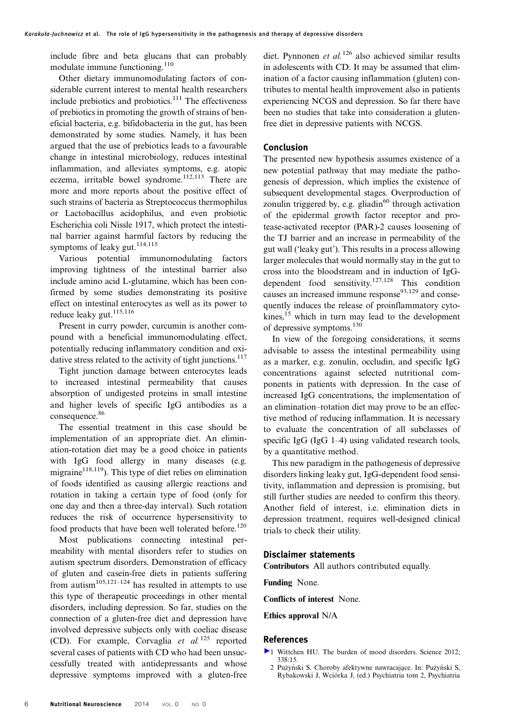<span id="page-5-0"></span>include fibre and beta glucans that can probably modulate immune functioning.<sup>[110](#page-8-0)</sup>

Other dietary immunomodulating factors of considerable current interest to mental health researchers include prebiotics and probiotics. $111$  The effectiveness of prebiotics in promoting the growth of strains of beneficial bacteria, e.g. bifidobacteria in the gut, has been demonstrated by some studies. Namely, it has been argued that the use of prebiotics leads to a favourable change in intestinal microbiology, reduces intestinal inflammation, and alleviates symptoms, e.g. atopic eczema, irritable bowel syndrome.<sup>112,113</sup> There are more and more reports about the positive effect of such strains of bacteria as Streptococcus thermophilus or Lactobacillus acidophilus, and even probiotic Escherichia coli Nissle 1917, which protect the intestinal barrier against harmful factors by reducing the symptoms of leaky gut.<sup>[114,115](#page-8-0)</sup>

Various potential immunomodulating factors improving tightness of the intestinal barrier also include amino acid L-glutamine, which has been confirmed by some studies demonstrating its positive effect on intestinal enterocytes as well as its power to reduce leaky gut.<sup>115,116</sup>

Present in curry powder, curcumin is another compound with a beneficial immunomodulating effect, potentially reducing inflammatory condition and oxi-dative stress related to the activity of tight junctions.<sup>[117](#page-8-0)</sup>

Tight junction damage between enterocytes leads to increased intestinal permeability that causes absorption of undigested proteins in small intestine and higher levels of specific IgG antibodies as a consequence.<sup>[86](#page-7-0)</sup>

The essential treatment in this case should be implementation of an appropriate diet. An elimination-rotation diet may be a good choice in patients with IgG food allergy in many diseases (e.g. migraine<sup>118,119</sup>). This type of diet relies on elimination of foods identified as causing allergic reactions and rotation in taking a certain type of food (only for one day and then a three-day interval). Such rotation reduces the risk of occurrence hypersensitivity to food products that have been well tolerated before.<sup>[120](#page-8-0)</sup>

Most publications connecting intestinal permeability with mental disorders refer to studies on autism spectrum disorders. Demonstration of efficacy of gluten and casein-free diets in patients suffering from autism<sup>[105,121](#page-8-0)–[124](#page-8-0)</sup> has resulted in attempts to use this type of therapeutic proceedings in other mental disorders, including depression. So far, studies on the connection of a gluten-free diet and depression have involved depressive subjects only with coeliac disease (CD). For example, Corvaglia et al.<sup>[125](#page-8-0)</sup> reported several cases of patients with CD who had been unsuccessfully treated with antidepressants and whose depressive symptoms improved with a gluten-free

diet. Pynnonen et al.<sup>[126](#page-8-0)</sup> also achieved similar results in adolescents with CD. It may be assumed that elimination of a factor causing inflammation (gluten) contributes to mental health improvement also in patients experiencing NCGS and depression. So far there have been no studies that take into consideration a glutenfree diet in depressive patients with NCGS.

#### Conclusion

The presented new hypothesis assumes existence of a new potential pathway that may mediate the pathogenesis of depression, which implies the existence of subsequent developmental stages. Overproduction of zonulin triggered by, e.g. gliadin $60$  through activation of the epidermal growth factor receptor and protease-activated receptor (PAR)-2 causes loosening of the TJ barrier and an increase in permeability of the gut wall ('leaky gut'). This results in a process allowing larger molecules that would normally stay in the gut to cross into the bloodstream and in induction of IgG-dependent food sensitivity.<sup>[127,128](#page-8-0)</sup> This condition causes an increased immune response $93,129$  $93,129$  and consequently induces the release of proinflammatory cytokines, $15$  which in turn may lead to the development of depressive symptoms.[130](#page-8-0)

In view of the foregoing considerations, it seems advisable to assess the intestinal permeability using as a marker, e.g. zonulin, occludin, and specific IgG concentrations against selected nutritional components in patients with depression. In the case of increased IgG concentrations, the implementation of an elimination–rotation diet may prove to be an effective method of reducing inflammation. It is necessary to evaluate the concentration of all subclasses of specific IgG (IgG 1–4) using validated research tools, by a quantitative method.

This new paradigm in the pathogenesis of depressive disorders linking leaky gut, IgG-dependent food sensitivity, inflammation and depression is promising, but still further studies are needed to confirm this theory. Another field of interest, i.e. elimination diets in depression treatment, requires well-designed clinical trials to check their utility.

#### Disclaimer statements

Contributors All authors contributed equally.

Funding None.

Conflicts of interest None.

Ethics approval N/A

#### References

- [1](http://www.maneyonline.com/action/showLinks?pmid=23042853&crossref=10.1126%2Fscience.1230817&isi=000309457400001) Wittchen HU. The burden of mood disorders. Science 2012; 338:15.
- 2 Pużyński S. Choroby afektywne nawracające. In: Pużyński S, Rybakowski J, Wciórka J, (ed.) Psychiatria tom 2, Psychiatria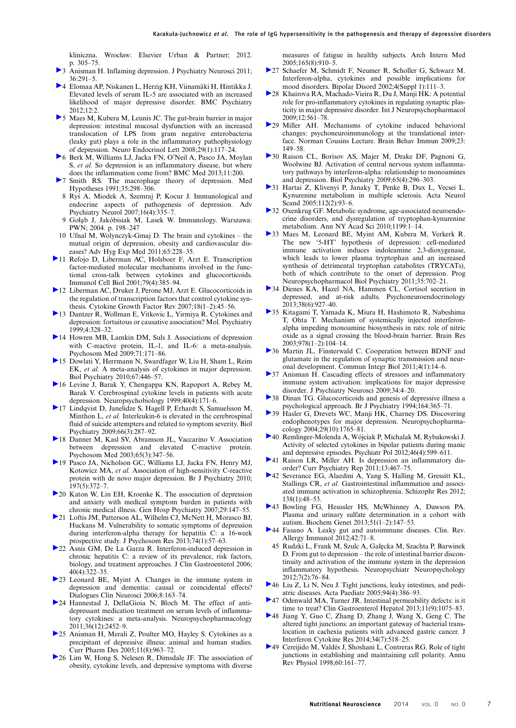<span id="page-6-0"></span>kliniczna. Wrocław: Elsevier Urban & Partner; 2012. p. 305–75.

- [3](http://www.maneyonline.com/action/showLinks?pmid=21864468&crossref=10.1503%2Fjpn.110071&isi=000294973900001) Anisman H. Inflaming depression. J Psychiatry Neurosci 2011; 36:291–5.
- [4](http://www.maneyonline.com/action/showLinks?pmid=22230487&crossref=10.1186%2F1471-244X-12-2&isi=000300261800001) Elomaa AP, Niskanen L, Herzig KH, Viinamäki H, Hintikka J. Elevated levels of serum IL-5 are associated with an increased likelihood of major depressive disorder. BMC Psychiatry 2012;12:2.
- [5](http://www.maneyonline.com/action/showLinks?pmid=18283240&isi=000254164800024) Maes M, Kubera M, Leunis JC. The gut-brain barrier in major depression: intestinal mucosal dysfunction with an increased translocation of LPS from gram negative enterobacteria (leaky gut) plays a role in the inflammatory pathophysiology of depression. Neuro Endocrinol Lett 2008;29(1):117–24.
- [6](http://www.maneyonline.com/action/showLinks?pmid=24228900&isi=000324260200001) Berk M, Williams LJ, Jacka FN, O'Neil A, Pasco JA, Moylan S, et al. So depression is an inflammatory disease, but where does the inflammation come from? BMC Med 2013;11:200.
- [7](http://www.maneyonline.com/action/showLinks?pmid=1943879&crossref=10.1016%2F0306-9877%2891%2990272-Z&isi=A1991GC50900005) Smith RS. The macrophage theory of depression. Med Hypotheses 1991;35:298–306.
- 8 Rys´ A, Miodek A, Szemraj P, Kocur J. Immunological and endocrine aspects of pathogenesis of depression. Adv Psychiatry Neurol 2007;16(4):335–7.
- 9 Gołąb J, Jakóbisiak M, Lasek W. Immunology. Warszawa: PWN; 2004. p. 198–247
- 10 Ufnal M, Wolynczyk-Gmaj D. The brain and cytokines the mutual origin of depression, obesity and cardiovascular diseases? Adv Hyg Exp Med 2011;65:228–35.
- [1](http://www.maneyonline.com/action/showLinks?pmid=11488986&crossref=10.1046%2Fj.1440-1711.2001.01023.x&isi=000171741900012)1 Refojo D, Liberman AC, Holsboer F, Arzt E. Transcription factor-mediated molecular mechanisms involved in the functional cross-talk between cytokines and glucocorticoids. Immunol Cell Biol 2001;79(4):385–94.
- [1](http://www.maneyonline.com/action/showLinks?pmid=17336577&crossref=10.1016%2Fj.cytogfr.2007.01.005&isi=000245777100005)2 Liberman AC, Druker J, Perone MJ, Arzt E. Glucocorticoids in the regulation of transcription factors that control cytokine synthesis. Cytokine Growth Factor Rev 2007;18(1–2):45–56.
- [1](http://www.maneyonline.com/action/showLinks?pmid=10483048&crossref=10.1038%2Fsj.mp.4000572&isi=000082550900008)3 Dantzer R, Wollman E, Vitkovic L, Yirmiya R. Cytokines and depression: fortuitous or causative association? Mol. Psychiatry 1999;4:328–32.
- [1](http://www.maneyonline.com/action/showLinks?pmid=19188531&crossref=10.1097%2FPSY.0b013e3181907c1b&isi=000263657000006)4 Howren MB, Lamkin DM, Suls J. Associations of depression with C-reactive protein, IL-1, and IL-6: a meta-analysis. Psychosom Med 2009;71:171–86.
- [1](http://www.maneyonline.com/action/showLinks?pmid=20015486&crossref=10.1016%2Fj.biopsych.2009.09.033&isi=000275100300008)5 Dowlati Y, Herrmann N, Swardfager W, Liu H, Sham L, Reim EK, et al. A meta-analysis of cytokines in major depression. Biol Psychiatry 2010;67:446–57.
- [1](http://www.maneyonline.com/action/showLinks?pmid=10559698&crossref=10.1159%2F000026615&isi=000083692600001)6 Levine J, Barak Y, Chengappa KN, Rapoport A, Rebey M, Barak V. Cerebrospinal cytokine levels in patients with acute depression. Neuropsychobiology 1999;40(4):171–6.
- [1](http://www.maneyonline.com/action/showLinks?pmid=19268915&crossref=10.1016%2Fj.biopsych.2009.01.030&isi=000267961600014)7 Lindqvist D, Janelidze S, Hagell P, Erhardt S, Samuelsson M, Minthon L, et al. Interleukin-6 is elevated in the cerebrospinal fluid of suicide attempters and related to symptom severity. Biol Psychiatry 2009;66(3):287–92.
- [1](http://www.maneyonline.com/action/showLinks?pmid=12764206&crossref=10.1097%2F01.PSY.0000041542.29808.01&isi=000183160300005)8 Danner M, Kasl SV, Abramson JL, Vaccarino V. Association between depression and elevated C-reactive protein. Psychosom Med 2003;65(3):347–56.
- [1](http://www.maneyonline.com/action/showLinks?pmid=21037214&crossref=10.1192%2Fbjp.bp.109.076430&isi=000284294700009)9 Pasco JA, Nicholson GC, Williams LJ, Jacka FN, Henry MJ, Kotowicz MA, et al. Association of high-sensitivity C-reactive protein with de novo major depression. Br J Psychiatry 2010; 197(5):372–7.
- [2](http://www.maneyonline.com/action/showLinks?pmid=17336664&crossref=10.1016%2Fj.genhosppsych.2006.11.005&isi=000244906300007)0 Katon W, Lin EH, Kroenke K. The association of depression and anxiety with medical symptom burden in patients with chronic medical illness. Gen Hosp Psychiatry 2007;29:147–55.
- [2](http://www.maneyonline.com/action/showLinks?pmid=23272989&crossref=10.1016%2Fj.jpsychores.2012.10.012&isi=000313390100011)1 Loftis JM, Patterson AL, Wilhelm CJ, McNett H, Morasco BJ, Huckans M. Vulnerability to somatic symptoms of depression during interferon-alpha therapy for hepatitis C: a 16-week prospective study. J Psychosom Res 2013;74(1):57–63.
- [2](http://www.maneyonline.com/action/showLinks?pmid=16633105&crossref=10.1097%2F01.mcg.0000210099.36500.fe&isi=000236992500010)2 Asnis GM, De La Garza R. Interferon-induced depression in chronic hepatitis C: a review of its prevalence, risk factors, biology, and treatment approaches. J Clin Gastroenterol 2006; 40(4):322–35.
- [2](http://www.maneyonline.com/action/showLinks?pmid=16889103)3 Leonard BE, Myint A. Changes in the immune system in depression and dementia: causal or coincidental effects? Dialogues Clin Neurosci 2006;8:163–74.
- [2](http://www.maneyonline.com/action/showLinks?pmid=21796103&crossref=10.1038%2Fnpp.2011.132&isi=000296070900009)4 Hannestad J, DellaGioia N, Bloch M. The effect of antidepressant medication treatment on serum levels of inflammatory cytokines: a meta-analysis. Neuropsychopharmacology 2011;36(12):2452–9.
- [2](http://www.maneyonline.com/action/showLinks?pmid=15777247&crossref=10.2174%2F1381612053381701&isi=000227162100003)5 Anisman H, Merali Z, Poulter MO, Hayley S. Cytokines as a precipitant of depressive illness: animal and human studies. Curr Pharm Des 2005;11(8):963–72.
- [2](http://www.maneyonline.com/action/showLinks?pmid=15851643&crossref=10.1001%2Farchinte.165.8.910&isi=000228599200013)6 Lim W, Hong S, Nelesen R, Dimsdale JF. The association of obesity, cytokine levels, and depressive symptoms with diverse

measures of fatigue in healthy subjects. Arch Intern Med  $2005;165(8):910-5.$ 

- [2](http://www.maneyonline.com/action/showLinks?pmid=12479695&crossref=10.1034%2Fj.1399-5618.4.s1.52.x&isi=000178611100039)7 Schaefer M, Schmidt F, Neumer R, Scholler G, Schwarz M. Interferon-alpha, cytokines and possible implications for mood disorders. Bipolar Disord 2002;4(Suppl 1):111–3.
- [2](http://www.maneyonline.com/action/showLinks?pmid=19224657&crossref=10.1017%2FS1461145709009924&isi=000266305800012)8 Khairova RA, Machado-Vieira R, Du J, Manji HK: A potential role for pro-inflammatory cytokines in regulating synaptic plasticity in major depressive disorder. Int J Neuropsychopharmacol 2009;12:561–78.
- [2](http://www.maneyonline.com/action/showLinks?pmid=18793712&crossref=10.1016%2Fj.bbi.2008.08.006&isi=000263134100001)9 Miller AH. Mechanisms of cytokine induced behavioral changes: psychoneuroimmunology at the translational interface. Norman Cousins Lecture. Brain Behav Immun 2009;23: 149–58.
- [3](http://www.maneyonline.com/action/showLinks?pmid=18801471&crossref=10.1016%2Fj.biopsych.2008.08.010&isi=000263249900006)0 Raison CL, Borisov AS, Majer M, Drake DF, Pagnoni G, Woolwine BJ. Activation of central nervous system inflammatory pathways by interferon-alpha: relationship to monoamines and depression. Biol Psychiatry 2009;65(4):296–303.
- [3](http://www.maneyonline.com/action/showLinks?pmid=16008534&crossref=10.1111%2Fj.1600-0404.2005.00442.x&isi=000230291000006)1 Hartai Z, Klivenyi P, Janaky T, Penke B, Dux L, Vecsei L. Kynurenine metabolism in multiple sclerosis. Acta Neurol Scand 2005;112(2):93-6.
- [3](http://www.maneyonline.com/action/showLinks?pmid=20633104&crossref=10.1111%2Fj.1749-6632.2009.05356.x&isi=000282838900001)2 Oxenkrug GF. Metabolic syndrome, age-associated neuroendocrine disorders, and dysregulation of tryptophan-kynurenine metabolism. Ann NY Acad Sci 2010;1199:1–14.
- [3](http://www.maneyonline.com/action/showLinks?pmid=21185346&crossref=10.1016%2Fj.pnpbp.2010.12.017&isi=000290928400005)3 Maes M, Leonard BE, Myint AM, Kubera M, Verkerk R. The new '5-HT' hypothesis of depression: cell-mediated immune activation induces indoleamine 2,3-dioxygenase, which leads to lower plasma tryptophan and an increased synthesis of detrimental tryptophan catabolites (TRYCATs), both of which contribute to the onset of depression. Prog Neuropsychopharmacol Biol Psychiatry 2011;35:702–21.
- [3](http://www.maneyonline.com/action/showLinks?pmid=23122890&crossref=10.1016%2Fj.psyneuen.2012.09.019&isi=000319540000019)4 Dienes KA, Hazel NA, Hammen CL. Cortisol secretion in depressed, and at-risk adults. Psychoneuroendocrinology 2013;38(6):927–40.
- [3](http://www.maneyonline.com/action/showLinks?pmid=12834904&crossref=10.1016%2FS0006-8993%2803%2902776-8&isi=000184190500013)5 Kitagami T, Yamada K, Miura H, Hashimoto R, Nabeshima T, Ohta T. Mechanism of systemically injected interferonalpha impeding monoamine biosynthesis in rats: role of nitric oxide as a signal crossing the blood-brain barrier. Brain Res 2003;978(1–2):104–14.
- [3](http://www.maneyonline.com/action/showLinks?crossref=10.4161%2Fcib.13761)6 Martin JL, Finsterwald C. Cooperation between BDNF and glutamate in the regulation of synaptic transmission and neuronal development. Commun Integr Biol 2011;4(1):14–6.
- [3](http://www.maneyonline.com/action/showLinks?pmid=19125209&isi=000261898000002)7 Anisman H. Cascading effects of stressors and inflammatory immune system activation: implications for major depressive disorder. J Psychiatry Neurosci 2009;34:4–20.
- [3](http://www.maneyonline.com/action/showLinks?pmid=7832833&crossref=10.1192%2Fbjp.164.3.365&isi=A1994NB59600013)8 Dinan TG. Glucocorticoids and genesis of depressive illness a psychological approach. Br J Psychiatry 1994;164:365–71.
- [3](http://www.maneyonline.com/action/showLinks?pmid=15213704&crossref=10.1038%2Fsj.npp.1300506&isi=000223998700001)9 Hasler G, Drevets WC, Manji HK, Charney DS. Discovering endophenotypes for major depression. Neuropsychopharmacology 2004;29(10):1765–81.
- [4](http://www.maneyonline.com/action/showLinks?pmid=23214162&isi=000311883200008)0 Remlinger-Molenda A, Wójciak P, Michalak M, Rybakowski J. Activity of selected cytokines in bipolar patients during manic and depressive episodes. Psychiatr Pol 2012;46(4):599–611.
- [4](http://www.maneyonline.com/action/showLinks?pmid=21927805&crossref=10.1007%2Fs11920-011-0232-0)1 Raison LR, Miller AH. Is depression an inflammatory disorder? Curr Psychiatry Rep 2011;13:467–75.
- [4](http://www.maneyonline.com/action/showLinks?pmid=22446142&crossref=10.1016%2Fj.schres.2012.02.025&isi=000304470200008)2 Severance EG, Alaedini A, Yang S, Halling M, Gressitt KL, Stallings CR, et al. Gastrointestinal inflammation and associated immune activation in schizophrenia. Schizophr Res 2012; 138(1):48–53.
- [4](http://www.maneyonline.com/action/showLinks?pmid=23104138&crossref=10.1007%2Fs10528-012-9550-0&isi=000319019100012)3 Bowling FG, Heussler HS, McWhinney A, Dawson PA. Plasma and urinary sulfate determination in a cohort with autism. Biochem Genet 2013;51(1–2):147–53.
- [4](http://www.maneyonline.com/action/showLinks?pmid=22109896&crossref=10.1007%2Fs12016-011-8291-x&isi=000299000100008)4 Fasano A. Leaky gut and autoimmune diseases. Clin. Rev. Allergy Immunol 2012;42:71–8.
- 45 Rudzki L, Frank M, Szulc A, Gałe˛cka M, Szachta P, Barwinek D. From gut to depression – the role of intestinal barrier discontinuity and activation of the immune system in the depression inflammatory hypothesis. Neuropsychiatr Neuropsychology 2012;7(2):76–84.
- [4](http://www.maneyonline.com/action/showLinks?pmid=16092447&crossref=10.1111%2Fj.1651-2227.2005.tb01904.x&isi=000228451400001)6 Liu Z, Li N, Neu J. Tight junctions, leaky intestines, and pediatric diseases. Acta Paediatr 2005;94(4):386–93.
- [4](http://www.maneyonline.com/action/showLinks?pmid=23851019&crossref=10.1016%2Fj.cgh.2013.07.001&isi=000323816100010)7 Odenwald MA, Turner JR. Intestinal permeability defects: is it time to treat? Clin Gastroenterol Hepatol 2013;11(9):1075–83.
- [4](http://www.maneyonline.com/action/showLinks?pmid=24720758&crossref=10.1089%2Fjir.2013.0020&isi=000339152400005)8 Jiang Y, Guo C, Zhang D, Zhang J, Wang X, Geng C. The altered tight junctions: an important gateway of bacterial translocation in cachexia patients with advanced gastric cancer. J Interferon Cytokine Res 2014;34(7):518–25.
- [4](http://www.maneyonline.com/action/showLinks?pmid=9558459&crossref=10.1146%2Fannurev.physiol.60.1.161&isi=000072713900009)9 Cereijido M, Valdés J, Shoshani L, Contreras RG. Role of tight junctions in establishing and maintaining cell polarity. Annu Rev Physiol 1998;60:161–77.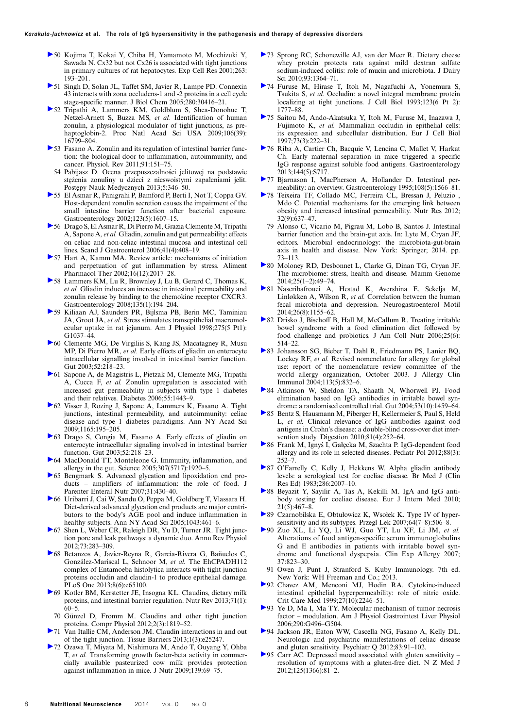- <span id="page-7-0"></span>[5](http://www.maneyonline.com/action/showLinks?pmid=11161718&crossref=10.1006%2Fexcr.2000.5103&isi=000167139300002)0 Kojima T, Kokai Y, Chiba H, Yamamoto M, Mochizuki Y, Sawada N. Cx32 but not Cx26 is associated with tight junctions in primary cultures of rat hepatocytes. Exp Cell Res 2001;263: 193–201.
- [5](http://www.maneyonline.com/action/showLinks?pmid=15980428&crossref=10.1074%2Fjbc.M506799200&isi=000231362500054)1 Singh D, Solan JL, Taffet SM, Javier R, Lampe PD. Connexin 43 interacts with zona occludens-1 and -2 proteins in a cell cycle stage-specific manner. J Biol Chem 2005;280:30416–21.
- [5](http://www.maneyonline.com/action/showLinks?pmid=19805376&crossref=10.1073%2Fpnas.0906773106&isi=000270305800047)2 Tripathi A, Lammers KM, Goldblum S, Shea-Donohue T, Netzel-Arnett S, Buzza MS, et al. Identification of human zonulin, a physiological modulator of tight junctions, as prehaptoglobin-2. Proc Natl Acad Sci USA 2009;106(39): 16799–804.
- [5](http://www.maneyonline.com/action/showLinks?pmid=21248165&crossref=10.1152%2Fphysrev.00003.2008&isi=000286375500004)3 Fasano A. Zonulin and its regulation of intestinal barrier function: the biological door to inflammation, autoimmunity, and cancer. Physiol. Rev 2011;91:151–75.
- 54 Pabijasz D. Ocena przepuszczalności jelitowej na podstawie stężenia zonuliny u dzieci z nieswoistymi zapaleniami jelit. Postępy Nauk Medycznych 2013;5:346-50.
- [5](http://www.maneyonline.com/action/showLinks?pmid=12404235&crossref=10.1053%2Fgast.2002.36578&isi=000178923100025)5 El Asmar R, Panigrahi P, Bamford P, Berti I, Not T, Coppa GV. Host-dependent zonulin secretion causes the impairment of the small intestine barrier function after bacterial exposure. Gastroenterology 2002;123(5):1607–15.
- [5](http://www.maneyonline.com/action/showLinks?pmid=16635908&crossref=10.1080%2F00365520500235334&isi=000236980100008)6 Drago S, El Asmar R, Di Pierro M, Grazia ClementeM, Tripathi A, Sapone A, et al. Gliadin, zonulin and gut permeability: effects on celiac and non-celiac intestinal mucosa and intestinal cell lines. Scand J Gastroenterol 2006;41(4):408–19.
- [5](http://www.maneyonline.com/action/showLinks?pmid=12452934&crossref=10.1046%2Fj.1365-2036.2002.01359.x&isi=000179529900004)7 Hart A, Kamm MA. Review article: mechanisms of initiation and perpetuation of gut inflammation by stress. Aliment Pharmacol Ther 2002;16(12):2017–28.
- [5](http://www.maneyonline.com/action/showLinks?pmid=18485912&crossref=10.1053%2Fj.gastro.2008.03.023&isi=000257551900027)8 Lammers KM, Lu R, Brownley J, Lu B, Gerard C, Thomas K, et al. Gliadin induces an increase in intestinal permeability and zonulin release by binding to the chemokine receptor CXCR3. Gastroenterology 2008;135(1):194–204.
- [5](http://www.maneyonline.com/action/showLinks?pmid=9815034&isi=000076856000023)9 Kiliaan AJ, Saunders PR, Bijlsma PB, Berin MC, Taminiau JA, Groot JA, et al. Stress stimulates transepithelial macromolecular uptake in rat jejunum. Am J Physiol 1998;275(5 Pt1): G1037–44.
- [6](http://www.maneyonline.com/action/showLinks?pmid=12524403&crossref=10.1136%2Fgut.52.2.218&isi=000180534200016)0 Clemente MG, De Virgiliis S, Kang JS, Macatagney R, Musu MP, Di Pierro MR, et al. Early effects of gliadin on enterocyte intracellular signalling involved in intestinal barrier function. Gut 2003;52:218–23.
- [6](http://www.maneyonline.com/action/showLinks?pmid=16644703&crossref=10.2337%2Fdb05-1593&isi=000237303800033)1 Sapone A, de Magistris L, Pietzak M, Clemente MG, Tripathi A, Cucca F, et al. Zonulin upregulation is associated with increased gut permeability in subjects with type 1 diabetes and their relatives. Diabetes 2006;55:1443–9.
- [6](http://www.maneyonline.com/action/showLinks?pmid=19538307&crossref=10.1111%2Fj.1749-6632.2009.04037.x&isi=000267364600028)2 Visser J, Rozing J, Sapone A, Lammers K, Fasano A. Tight junctions, intestinal permeability, and autoimmunity: celiac disease and type 1 diabetes paradigms. Ann NY Acad Sci 2009;1165:195–205.
- [6](http://www.maneyonline.com/action/showLinks?pmid=12524403&crossref=10.1136%2Fgut.52.2.218&isi=000180534200016)3 Drago S, Congia M, Fasano A. Early effects of gliadin on enterocyte intracellular signaling involved in intestinal barrier function. Gut 2003;52:218–23.
- [6](http://www.maneyonline.com/action/showLinks?pmid=15790845&crossref=10.1126%2Fscience.1106442&isi=000227957300046)4 MacDonald TT, Monteleone G. Immunity, inflammation, and allergy in the gut. Science 2005;307(5717):1920–5.
- [6](http://www.maneyonline.com/action/showLinks?pmid=17712153&crossref=10.1177%2F0148607107031005430&isi=000249176200023)5 Bengmark S. Advanced glycation and lipoxidation end products – amplifiers of inflammation: the role of food. J Parenter Enteral Nutr 2007;31:430–40.
- [6](http://www.maneyonline.com/action/showLinks?pmid=16037267&crossref=10.1196%2Fannals.1333.052&isi=000231834100052)6 Uribarri J, Cai W, Sandu O, Peppa M, Goldberg T, Vlassara H. Diet-derived advanced glycation end products are major contributors to the body's AGE pool and induce inflammation in healthy subjects. Ann NY Acad Sci 2005:1043:461-6.
- [6](http://www.maneyonline.com/action/showLinks?crossref=10.1146%2Fannurev-physiol-012110-142150&isi=000288968800013)7 Shen L, Weber CR, Raleigh DR, Yu D, Turner JR. Tight junction pore and leak pathways: a dynamic duo. Annu Rev Physiol 2012;73:283–309.
- [6](http://www.maneyonline.com/action/showLinks?pmid=23762290&crossref=10.1371%2Fjournal.pone.0065100&isi=000321094800018)8 Betanzos A, Javier-Reyna R, García-Rivera G, Bañuelos C, González-Mariscal L, Schnoor M, et al. The EhCPADH112 complex of Entamoeba histolytica interacts with tight junction proteins occludin and claudin-1 to produce epithelial damage. PLoS One 2013;8(6):e65100.
- [6](http://www.maneyonline.com/action/showLinks?pmid=23282252&crossref=10.1111%2Fj.1753-4887.2012.00549.x&isi=000312992800006)9 Kotler BM, Kerstetter JE, Insogna KL. Claudins, dietary milk proteins, and intestinal barrier regulation. Nutr Rev 2013;71(1): 60–5.
- 70 Günzel D, Fromm M. Claudins and other tight junction proteins. Compr Physiol 2012;2(3):1819–52.
- $\triangleright$  [7](http://www.maneyonline.com/action/showLinks?crossref=10.4161%2Ftisb.25247)1 Van Itallie CM, Anderson JM. Claudin interactions in and out of the tight junction. Tissue Barriers 2013;1(3):e25247.
- [7](http://www.maneyonline.com/action/showLinks?pmid=19056655&crossref=10.3945%2Fjn.108.092528&isi=000261777100013)2 Ozawa T, Miyata M, Nishimura M, Ando T, Ouyang Y, Ohba T, et al. Transforming growth factor-beta activity in commercially available pasteurized cow milk provides protection against inflammation in mice. J Nutr 2009;139:69–75.
- 73 Sprong RC, Schonewille AJ, van der Meer R. Dietary cheese whey protein protects rats against mild dextran sulfate sodium-induced colitis: role of mucin and microbiota. J Dairy Sci 2010;93:1364–71.
- 74 Furuse M, Hirase T, Itoh M, Nagafuchi A, Yonemura S, Tsukita S, et al. Occludin: a novel integral membrane protein localizing at tight junctions. J Cell Biol 1993;123(6 Pt 2): 1777–88.
- 75 Saitou M, Ando-Akatsuka Y, Itoh M, Furuse M, Inazawa J, Fujimoto K, et al. Mammalian occludin in epithelial cells: its expression and subcellular distribution. Eur J Cell Biol 1997;73(3):222–31.
- 76 Riba A, Cartier Ch, Bacquie V, Lencina C, Mallet V, Harkat Ch. Early maternal separation in mice triggered a specific IgG response against soluble food antigens. Gastroenterology 2013;144(5):S717.
- 77 Bjarnason I, MacPherson A, Hollander D. Intestinal permeability: an overview. Gastroenterology 1995;108(5):1566–81.
- 78 Teixeira TF, Collado MC, Ferreira CL, Bressan J, Peluzio , Mdo C. Potential mechanisms for the emerging link between obesity and increased intestinal permeability. Nutr Res 2012; 32(9):637–47.
	- 79 Alonso C, Vicario M, Pigrau M, Lobo B, Santos J. Intestinal barrier function and the brain-gut axis. In: Lyte M, Cryan JF, editors. Microbial endocrinology: the microbiota-gut-brain axis in health and disease. New York: Springer; 2014. pp. 73–113.
- 80 Moloney RD, Desbonnet L, Clarke G, Dinan TG, Cryan JF. The microbiome: stress, health and disease. Mamm Genome 2014;25(1–2):49–74.
- 81 Naseribafrouei A, Hestad K, Avershina E, Sekelja M, Linløkken A, Wilson R, et al. Correlation between the human fecal microbiota and depression. Neurogastroenterol Motil 2014;26(8):1155–62.
- 82 Drisko J, Bischoff B, Hall M, McCallum R. Treating irritable bowel syndrome with a food elimination diet followed by food challenge and probiotics. J Am Coll Nutr 2006;25(6): 514–22.
- 83 Johansson SG, Bieber T, Dahl R, Friedmann PS, Lanier BQ, Lockey RF, et al. Revised nomenclature for allergy for global use: report of the nomenclature review committee of the world allergy organization, October 2003. J Allergy Clin Immunol 2004;113(5):832–6.
- 84 Atkinson W, Sheldon TA, Shaath N, Whorwell PJ. Food elimination based on IgG antibodies in irritable bowel syndrome: a randomised controlled trial. Gut 2004;53(10):1459–64.
- 85 Bentz S, Hausmann M, Piberger H, Kellermeier S, Paul S, Held L, et al. Clinical relevance of IgG antibodies against ood antigens in Crohn's disease: a double-blind cross-over diet intervention study. Digestion 2010;81(4):252–64.
- ▶ 86 Frank M, Ignyś I, Gałęcka M, Szachta P. IgG-dependent food allergy and its role in selected diseases. Pediatr Pol 2012;88(3): 252–7.
- 87 O'Farrelly C, Kelly J, Hekkens W. Alpha gliadin antibody levels: a serological test for coeliac disease. Br Med J (Clin Res Ed) 1983;286:2007–10.
- 88 Beyazit Y, Sayilir A, Tas A, Kekilli M. IgA and IgG antibody testing for coeliac disease. Eur J Intern Med 2010;  $21(5):467-8.$
- 89 Czarnobilska E, Obtułowicz K, Wsołek K. Type IV of hypersensitivity and its subtypes. Przegl Lek 2007;64(7-8):506-8.
- 90 Zuo XL, Li YQ, Li WJ, Guo YT, Lu XF, Li JM, et al. Alterations of food antigen-specific serum immunoglobulins G and E antibodies in patients with irritable bowel syndrome and functional dyspepsia. Clin Exp Allergy 2007;  $37.823 - 30$
- 91 Owen J, Punt J, Stranford S. Kuby Immunology. 7th ed. New York: WH Freeman and Co.; 2013.
- 92 Chavez AM, Menconi MJ, Hodin RA. Cytokine-induced intestinal epithelial hyperpermeability: role of nitric oxide. Crit Care Med 1999;27(10):2246–51.
- 93 Ye D, Ma I, Ma TY. Molecular mechanism of tumor necrosis factor – modulation. Am J Physiol Gastrointest Liver Physiol 2006;290:G496–G504.
- 94 Jackson JR, Eaton WW, Cascella NG, Fasano A, Kelly DL. Neurologic and psychiatric manifestations of celiac disease and gluten sensitivity. Psychiatr Q 2012;83:91–102.
- 95 Carr AC. Depressed mood associated with gluten sensitivity resolution of symptoms with a gluten-free diet. N Z Med J 2012;125(1366):81–2.